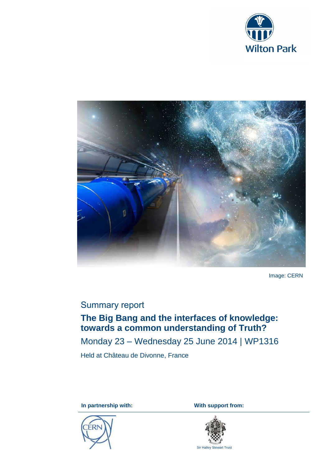



Image: CERN

# Summary report

# **The Big Bang and the interfaces of knowledge: towards a common understanding of Truth?**

Monday 23 – Wednesday 25 June 2014 | WP1316

Held at Château de Divonne, France

**In partnership with:** With support from:





Sir Halley Stewart Trust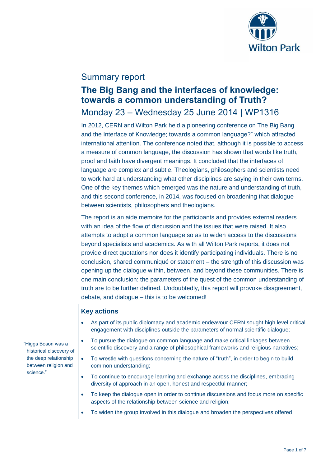

# Summary report

# **The Big Bang and the interfaces of knowledge: towards a common understanding of Truth?**

# Monday 23 – Wednesday 25 June 2014 | WP1316

In 2012, CERN and Wilton Park held a pioneering conference on The Big Bang and the Interface of Knowledge; towards a common language?" which attracted international attention. The conference noted that, although it is possible to access a measure of common language, the discussion has shown that words like truth, proof and faith have divergent meanings. It concluded that the interfaces of language are complex and subtle. Theologians, philosophers and scientists need to work hard at understanding what other disciplines are saying in their own terms. One of the key themes which emerged was the nature and understanding of truth, and this second conference, in 2014, was focused on broadening that dialogue between scientists, philosophers and theologians.

The report is an aide memoire for the participants and provides external readers with an idea of the flow of discussion and the issues that were raised. It also attempts to adopt a common language so as to widen access to the discussions beyond specialists and academics. As with all Wilton Park reports, it does not provide direct quotations nor does it identify participating individuals. There is no conclusion, shared communiqué or statement – the strength of this discussion was opening up the dialogue within, between, and beyond these communities. There is one main conclusion: the parameters of the quest of the common understanding of truth are to be further defined. Undoubtedly, this report will provoke disagreement, debate, and dialogue – this is to be welcomed!

## **Key actions**

- As part of its public diplomacy and academic endeavour CERN sought high level critical engagement with disciplines outside the parameters of normal scientific dialogue;
- To pursue the dialogue on common language and make critical linkages between scientific discovery and a range of philosophical frameworks and religious narratives;
- To wrestle with questions concerning the nature of "truth", in order to begin to build common understanding;
- To continue to encourage learning and exchange across the disciplines, embracing diversity of approach in an open, honest and respectful manner;
- To keep the dialogue open in order to continue discussions and focus more on specific aspects of the relationship between science and religion;
- To widen the group involved in this dialogue and broaden the perspectives offered

"Higgs Boson was a historical discovery of the deep relationship between religion and science."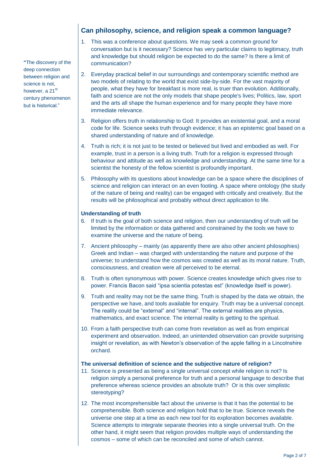## **Can philosophy, science, and religion speak a common language?**

- 1. This was a conference about questions. We may seek a common ground for conversation but is it necessary? Science has very particular claims to legitimacy, truth and knowledge but should religion be expected to do the same? Is there a limit of communication?
- 2. Everyday practical belief in our surroundings and contemporary scientific method are two models of relating to the world that exist side-by-side. For the vast majority of people, what they have for breakfast is more real, is truer than evolution. Additionally, faith and science are not the only models that shape people's lives; Politics, law, sport and the arts all shape the human experience and for many people they have more immediate relevance.
- 3. Religion offers truth in relationship to God: It provides an existential goal, and a moral code for life. Science seeks truth through evidence; it has an epistemic goal based on a shared understanding of nature and of knowledge.
- 4. Truth is rich; it is not just to be tested or believed but lived and embodied as well. For example, trust in a person is a living truth. Truth for a religion is expressed through behaviour and attitude as well as knowledge and understanding. At the same time for a scientist the honesty of the fellow scientist is profoundly important.
- 5. Philosophy with its questions about knowledge can be a space where the disciplines of science and religion can interact on an even footing. A space where ontology (the study of the nature of being and reality) can be engaged with critically and creatively. But the results will be philosophical and probably without direct application to life.

#### **Understanding of truth**

- 6. If truth is the goal of both science and religion, then our understanding of truth will be limited by the information or data gathered and constrained by the tools we have to examine the universe and the nature of being.
- 7. Ancient philosophy mainly (as apparently there are also other ancient philosophies) Greek and Indian – was charged with understanding the nature and purpose of the universe; to understand how the cosmos was created as well as its moral nature. Truth, consciousness, and creation were all perceived to be eternal.
- 8. Truth is often synonymous with power. Science creates knowledge which gives rise to power. Francis Bacon said "ipsa scientia potestas est" (knowledge itself is power).
- 9. Truth and reality may not be the same thing. Truth is shaped by the data we obtain, the perspective we have, and tools available for enquiry. Truth may be a universal concept. The reality could be "external" and "internal". The external realities are physics, mathematics, and exact science. The internal reality is getting to the spiritual.
- 10. From a faith perspective truth can come from revelation as well as from empirical experiment and observation. Indeed, an unintended observation can provide surprising insight or revelation, as with Newton's observation of the apple falling in a Lincolnshire orchard.

#### **The universal definition of science and the subjective nature of religion?**

- 11. Science is presented as being a single universal concept while religion is not? Is religion simply a personal preference for truth and a personal language to describe that preference whereas science provides an absolute truth? Or is this over simplistic stereotyping?
- 12. The most incomprehensible fact about the universe is that it has the potential to be comprehensible. Both science and religion hold that to be true. Science reveals the universe one step at a time as each new tool for its exploration becomes available. Science attempts to integrate separate theories into a single universal truth. On the other hand, it might seem that religion provides multiple ways of understanding the cosmos – some of which can be reconciled and some of which cannot.

**"**The discovery of the deep connection between religion and science is not, however, a 21<sup>st</sup> century phenomenon but is historical."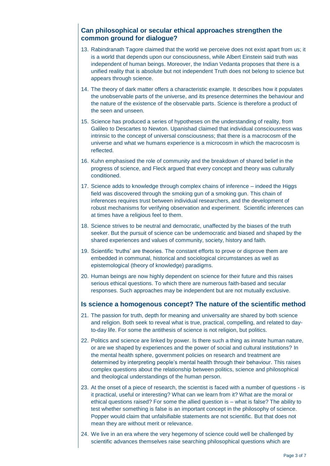## **Can philosophical or secular ethical approaches strengthen the common ground for dialogue?**

- 13. Rabindranath Tagore claimed that the world we perceive does not exist apart from us; it is a world that depends upon our consciousness, while Albert Einstein said truth was independent of human beings. Moreover, the Indian Vedanta proposes that there is a unified reality that is absolute but not independent Truth does not belong to science but appears through science.
- 14. The theory of dark matter offers a characteristic example. It describes how it populates the unobservable parts of the universe, and its presence determines the behaviour and the nature of the existence of the observable parts. Science is therefore a product of the seen and unseen.
- 15. Science has produced a series of hypotheses on the understanding of reality, from Galileo to Descartes to Newton. Upanishad claimed that individual consciousness was intrinsic to the concept of universal consciousness; that there is a macrocosm of the universe and what we humans experience is a microcosm in which the macrocosm is reflected.
- 16. Kuhn emphasised the role of community and the breakdown of shared belief in the progress of science, and Fleck argued that every concept and theory was culturally conditioned.
- 17. Science adds to knowledge through complex chains of inference indeed the Higgs field was discovered through the smoking gun of a smoking gun. This chain of inferences requires trust between individual researchers, and the development of robust mechanisms for verifying observation and experiment. Scientific inferences can at times have a religious feel to them.
- 18. Science strives to be neutral and democratic, unaffected by the biases of the truth seeker. But the pursuit of science can be undemocratic and biased and shaped by the shared experiences and values of community, society, history and faith.
- 19. Scientific 'truths' are theories. The constant efforts to prove or disprove them are embedded in communal, historical and sociological circumstances as well as epistemological (theory of knowledge) paradigms.
- 20. Human beings are now highly dependent on science for their future and this raises serious ethical questions. To which there are numerous faith-based and secular responses. Such approaches may be independent but are not mutually exclusive.

#### **Is science a homogenous concept? The nature of the scientific method**

- 21. The passion for truth, depth for meaning and universality are shared by both science and religion. Both seek to reveal what is true, practical, compelling, and related to dayto-day life. For some the antithesis of science is not religion, but politics.
- 22. Politics and science are linked by power. Is there such a thing as innate human nature, or are we shaped by experiences and the power of social and cultural institutions? In the mental health sphere, government policies on research and treatment are determined by interpreting people's mental health through their behaviour. This raises complex questions about the relationship between politics, science and philosophical and theological understandings of the human person.
- 23. At the onset of a piece of research, the scientist is faced with a number of questions is it practical, useful or interesting? What can we learn from it? What are the moral or ethical questions raised? For some the allied question is – what is false? The ability to test whether something is false is an important concept in the philosophy of science. Popper would claim that unfalsifiable statements are not scientific. But that does not mean they are without merit or relevance.
- 24. We live in an era where the very hegemony of science could well be challenged by scientific advances themselves raise searching philosophical questions which are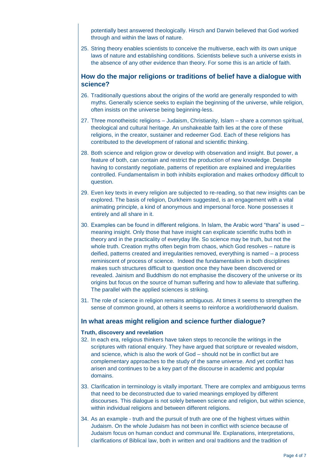potentially best answered theologically. Hirsch and Darwin believed that God worked through and within the laws of nature.

25. String theory enables scientists to conceive the multiverse, each with its own unique laws of nature and establishing conditions. Scientists believe such a universe exists in the absence of any other evidence than theory. For some this is an article of faith.

### **How do the major religions or traditions of belief have a dialogue with science?**

- 26. Traditionally questions about the origins of the world are generally responded to with myths. Generally science seeks to explain the beginning of the universe, while religion, often insists on the universe being beginning-less.
- 27. Three monotheistic religions Judaism, Christianity, Islam share a common spiritual, theological and cultural heritage. An unshakeable faith lies at the core of these religions, in the creator, sustainer and redeemer God. Each of these religions has contributed to the development of rational and scientific thinking.
- 28. Both science and religion grow or develop with observation and insight. But power, a feature of both, can contain and restrict the production of new knowledge. Despite having to constantly negotiate, patterns of repetition are explained and irregularities controlled. Fundamentalism in both inhibits exploration and makes orthodoxy difficult to question.
- 29. Even key texts in every religion are subjected to re-reading, so that new insights can be explored. The basis of religion, Durkheim suggested, is an engagement with a vital animating principle, a kind of anonymous and impersonal force. None possesses it entirely and all share in it.
- 30. Examples can be found in different religions. In Islam, the Arabic word "thara" is used meaning insight. Only those that have insight can explicate scientific truths both in theory and in the practicality of everyday life. So science may be truth, but not the whole truth. Creation myths often begin from chaos, which God resolves – nature is deified, patterns created and irregularities removed, everything is named – a process reminiscent of process of science. Indeed the fundamentalism in both disciplines makes such structures difficult to question once they have been discovered or revealed. Jainism and Buddhism do not emphasise the discovery of the universe or its origins but focus on the source of human suffering and how to alleviate that suffering. The parallel with the applied sciences is striking.
- 31. The role of science in religion remains ambiguous. At times it seems to strengthen the sense of common ground, at others it seems to reinforce a world/otherworld dualism.

#### **In what areas might religion and science further dialogue?**

#### **Truth, discovery and revelation**

- 32. In each era, religious thinkers have taken steps to reconcile the writings in the scriptures with rational enquiry. They have argued that scripture or revealed wisdom, and science, which is also the work of God – should not be in conflict but are complementary approaches to the study of the same universe. And yet conflict has arisen and continues to be a key part of the discourse in academic and popular domains.
- 33. Clarification in terminology is vitally important. There are complex and ambiguous terms that need to be deconstructed due to varied meanings employed by different discourses. This dialogue is not solely between science and religion, but within science, within individual religions and between different religions.
- 34. As an example truth and the pursuit of truth are one of the highest virtues within Judaism. On the whole Judaism has not been in conflict with science because of Judaism focus on human conduct and communal life. Explanations, interpretations, clarifications of Biblical law, both in written and oral traditions and the tradition of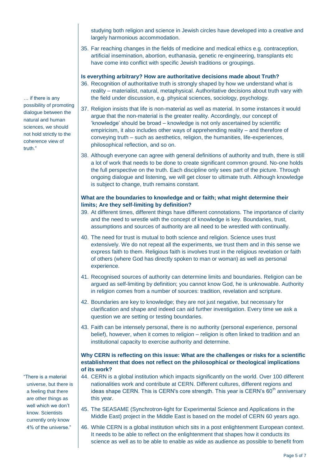studying both religion and science in Jewish circles have developed into a creative and largely harmonious accommodation.

35. Far reaching changes in the fields of medicine and medical ethics e.g. contraception, artificial insemination, abortion, euthanasia, genetic re-engineering, transplants etc have come into conflict with specific Jewish traditions or groupings.

### **Is everything arbitrary? How are authoritative decisions made about Truth?**

- 36. Recognition of authoritative truth is strongly shaped by how we understand what is reality – materialist, natural, metaphysical. Authoritative decisions about truth vary with the field under discussion, e.g. physical sciences, sociology, psychology.
- 37. Religion insists that life is non-material as well as material. In some instances it would argue that the non-material is the greater reality. Accordingly, our concept of 'knowledge' should be broad – knowledge is not only ascertained by scientific empiricism, it also includes other ways of apprehending reality – and therefore of conveying truth – such as aesthetics, religion, the humanities, life-experiences, philosophical reflection, and so on.
- 38. Although everyone can agree with general definitions of authority and truth, there is still a lot of work that needs to be done to create significant common ground. No-one holds the full perspective on the truth. Each discipline only sees part of the picture. Through ongoing dialogue and listening, we will get closer to ultimate truth. Although knowledge is subject to change, truth remains constant.

### **What are the boundaries to knowledge and or faith; what might determine their limits; Are they self-limiting by definition?**

- 39. At different times, different things have different connotations. The importance of clarity and the need to wrestle with the concept of knowledge is key. Boundaries, trust, assumptions and sources of authority are all need to be wrestled with continually.
- 40. The need for trust is mutual to both science and religion. Science uses trust extensively. We do not repeat all the experiments, we trust them and in this sense we express faith to them. Religious faith is involves trust in the religious revelation or faith of others (where God has directly spoken to man or woman) as well as personal experience.
- 41. Recognised sources of authority can determine limits and boundaries. Religion can be argued as self-limiting by definition; you cannot know God, he is unknowable. Authority in religion comes from a number of sources: tradition, revelation and scripture.
- 42. Boundaries are key to knowledge; they are not just negative, but necessary for clarification and shape and indeed can aid further investigation. Every time we ask a question we are setting or testing boundaries.
- 43. Faith can be intensely personal, there is no authority (personal experience, personal belief), however, when it comes to religion – religion is often linked to tradition and an institutional capacity to exercise authority and determine.

### **Why CERN is reflecting on this issue: What are the challenges or risks for a scientific establishment that does not reflect on the philosophical or theological implications of its work?**

- 44. CERN is a global institution which impacts significantly on the world. Over 100 different nationalities work and contribute at CERN. Different cultures, different regions and ideas shape CERN. This is CERN's core strength. This year is CERN's  $60<sup>th</sup>$  anniversary this year.
- 45. The SEASAME (Synchrotron-light for Experimental Science and Applications in the Middle East) project in the Middle East is based on the model of CERN 60 years ago.
- 46. While CERN is a global institution which sits in a post enlightenment European context. It needs to be able to reflect on the enlightenment that shapes how it conducts its science as well as to be able to enable as wide as audience as possible to benefit from

… if there is any possibility of promoting dialogue between the natural and human sciences, we should not hold strictly to the coherence view of truth."

"There is a material universe, but there is a feeling that there are other things as well which we don't know. Scientists currently only know 4% of the universe."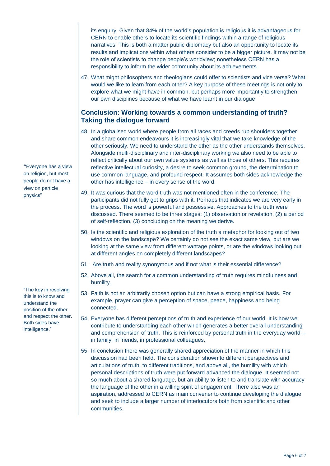its enquiry. Given that 84% of the world's population is religious it is advantageous for CERN to enable others to locate its scientific findings within a range of religious narratives. This is both a matter public diplomacy but also an opportunity to locate its results and implications within what others consider to be a bigger picture. It may not be the role of scientists to change people's worldview; nonetheless CERN has a responsibility to inform the wider community about its achievements.

47. What might philosophers and theologians could offer to scientists and vice versa? What would we like to learn from each other? A key purpose of these meetings is not only to explore what we might have in common, but perhaps more importantly to strengthen our own disciplines because of what we have learnt in our dialogue.

### **Conclusion: Working towards a common understanding of truth? Taking the dialogue forward**

- 48. In a globalised world where people from all races and creeds rub shoulders together and share common endeavours it is increasingly vital that we take knowledge of the other seriously. We need to understand the other as the other understands themselves. Alongside multi-disciplinary and inter-disciplinary working we also need to be able to reflect critically about our own value systems as well as those of others. This requires reflective intellectual curiosity, a desire to seek common ground, the determination to use common language, and profound respect. It assumes both sides acknowledge the other has intelligence – in every sense of the word.
- 49. It was curious that the word truth was not mentioned often in the conference. The participants did not fully get to grips with it. Perhaps that indicates we are very early in the process. The word is powerful and possessive. Approaches to the truth were discussed. There seemed to be three stages; (1) observation or revelation, (2) a period of self-reflection, (3) concluding on the meaning we derive.
- 50. Is the scientific and religious exploration of the truth a metaphor for looking out of two windows on the landscape? We certainly do not see the exact same view, but are we looking at the same view from different vantage points, or are the windows looking out at different angles on completely different landscapes?
- 51. Are truth and reality synonymous and if not what is their essential difference?
- 52. Above all, the search for a common understanding of truth requires mindfulness and humility.
- 53. Faith is not an arbitrarily chosen option but can have a strong empirical basis. For example, prayer can give a perception of space, peace, happiness and being connected.
- 54. Everyone has different perceptions of truth and experience of our world. It is how we contribute to understanding each other which generates a better overall understanding and comprehension of truth. This is reinforced by personal truth in the everyday world – in family, in friends, in professional colleagues.
- 55. In conclusion there was generally shared appreciation of the manner in which this discussion had been held. The consideration shown to different perspectives and articulations of truth, to different traditions, and above all, the humility with which personal descriptions of truth were put forward advanced the dialogue. It seemed not so much about a shared language, but an ability to listen to and translate with accuracy the language of the other in a willing spirit of engagement. There also was an aspiration, addressed to CERN as main convener to continue developing the dialogue and seek to include a larger number of interlocutors both from scientific and other communities.

**"**Everyone has a view on religion, but most people do not have a view on particle physics"

"The key in resolving this is to know and understand the position of the other and respect the other. Both sides have intelligence."